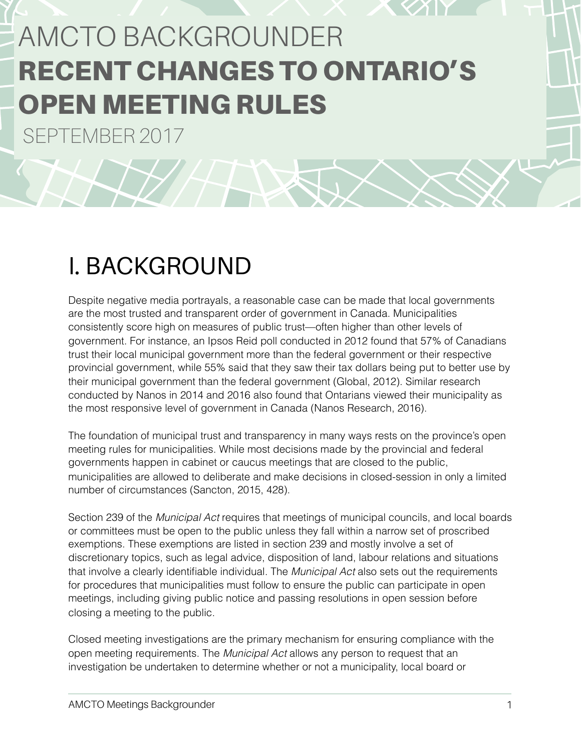# AMCTO BACKGROUNDER RECENT CHANGES TO ONTARIO'S OPEN MEETING RULES

SEPTEMBER 2017

## I. BACKGROUND

Despite negative media portrayals, a reasonable case can be made that local governments are the most trusted and transparent order of government in Canada. Municipalities consistently score high on measures of public trust—often higher than other levels of government. For instance, an Ipsos Reid poll conducted in 2012 found that 57% of Canadians trust their local municipal government more than the federal government or their respective provincial government, while 55% said that they saw their tax dollars being put to better use by their municipal government than the federal government (Global, 2012). Similar research conducted by Nanos in 2014 and 2016 also found that Ontarians viewed their municipality as the most responsive level of government in Canada (Nanos Research, 2016).

The foundation of municipal trust and transparency in many ways rests on the province's open meeting rules for municipalities. While most decisions made by the provincial and federal governments happen in cabinet or caucus meetings that are closed to the public, municipalities are allowed to deliberate and make decisions in closed-session in only a limited number of circumstances (Sancton, 2015, 428).

Section 239 of the *Municipal Act* requires that meetings of municipal councils, and local boards or committees must be open to the public unless they fall within a narrow set of proscribed exemptions. These exemptions are listed in section 239 and mostly involve a set of discretionary topics, such as legal advice, disposition of land, labour relations and situations that involve a clearly identifiable individual. The *Municipal Act* also sets out the requirements for procedures that municipalities must follow to ensure the public can participate in open meetings, including giving public notice and passing resolutions in open session before closing a meeting to the public.

Closed meeting investigations are the primary mechanism for ensuring compliance with the open meeting requirements. The *Municipal Act* allows any person to request that an investigation be undertaken to determine whether or not a municipality, local board or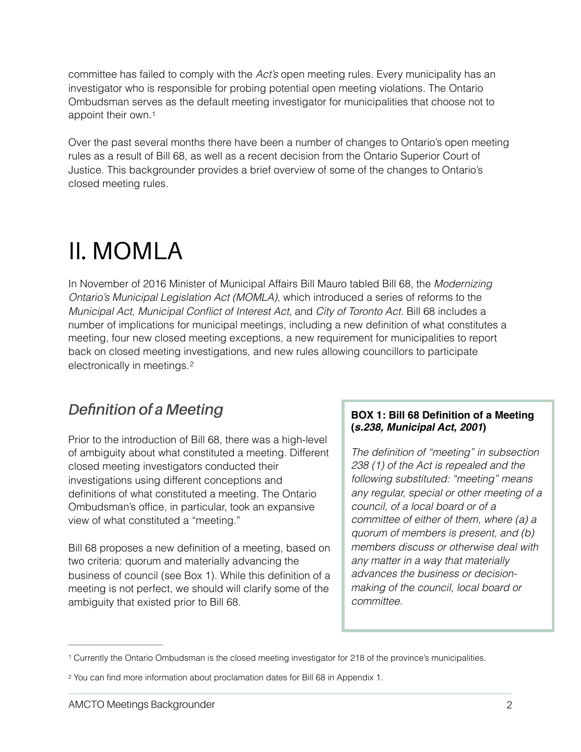committee has failed to comply with the *Act's* open meeting rules. Every municipality has an investigator who is responsible for probing potential open meeting violations. The Ontario Ombudsman serves as the default meeting investigator for municipalities that choose not to appoint their own[.1](#page-1-0)

<span id="page-1-2"></span>Over the past several months there have been a number of changes to Ontario's open meeting rules as a result of Bill 68, as well as a recent decision from the Ontario Superior Court of Justice. This backgrounder provides a brief overview of some of the changes to Ontario's closed meeting rules.

## II. MOMLA

In November of 2016 Minister of Municipal Affairs Bill Mauro tabled Bill 68, the *Modernizing Ontario's Municipal Legislation Act (MOMLA)*, which introduced a series of reforms to the *Municipal Act*, *Municipal Conflict of Interest Act*, and *City of Toronto Act*. Bill 68 includes a number of implications for municipal meetings, including a new definition of what constitutes a meeting, four new closed meeting exceptions, a new requirement for municipalities to report back on closed meeting investigations, and new rules allowing councillors to participate electronically in meetings. [2](#page-1-1)

### <span id="page-1-3"></span>*Definition of a Meeting*

Prior to the introduction of Bill 68, there was a high-level of ambiguity about what constituted a meeting. Different closed meeting investigators conducted their investigations using different conceptions and definitions of what constituted a meeting. The Ontario Ombudsman's office, in particular, took an expansive view of what constituted a "meeting."

Bill 68 proposes a new definition of a meeting, based on two criteria: quorum and materially advancing the business of council (see Box 1). While this definition of a meeting is not perfect, we should will clarify some of the ambiguity that existed prior to Bill 68.

#### **BOX 1: Bill 68 Definition of a Meeting (***s.238, Municipal Act, 2001***)**

*The definition of "meeting" in subsection 238 (1) of the Act is repealed and the following substituted: "meeting" means any regular, special or other meeting of a council, of a local board or of a committee of either of them, where (a) a quorum of members is present, and (b) members discuss or otherwise deal with any matter in a way that materially advances the business or decisionmaking of the council, local board or committee.* 

<span id="page-1-0"></span>Currently the Ontario Ombudsman is the closed meeting investigator for 218 of the province's municipalities. [1](#page-1-2)

<span id="page-1-1"></span>You can find more information about proclamation dates for Bill 68 in Appendix 1. [2](#page-1-3)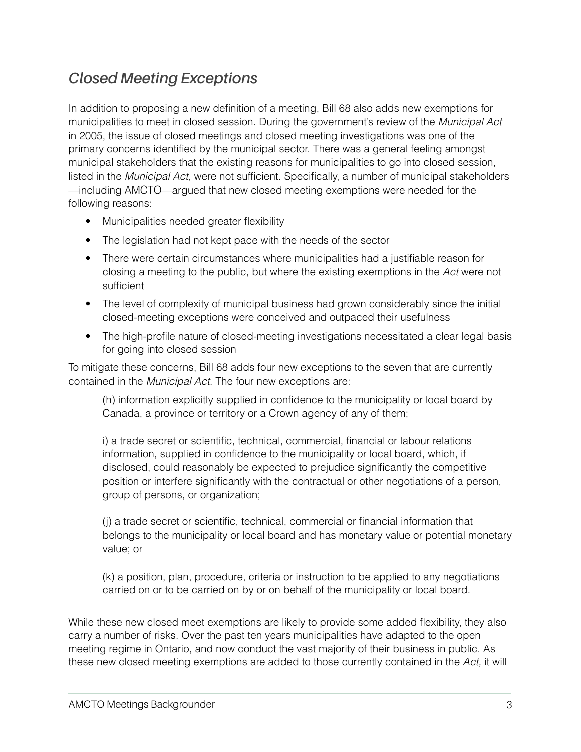### *Closed Meeting Exceptions*

In addition to proposing a new definition of a meeting, Bill 68 also adds new exemptions for municipalities to meet in closed session. During the government's review of the *Municipal Act* in 2005, the issue of closed meetings and closed meeting investigations was one of the primary concerns identified by the municipal sector. There was a general feeling amongst municipal stakeholders that the existing reasons for municipalities to go into closed session, listed in the *Municipal Act*, were not sufficient. Specifically, a number of municipal stakeholders —including AMCTO—argued that new closed meeting exemptions were needed for the following reasons:

- Municipalities needed greater flexibility
- The legislation had not kept pace with the needs of the sector
- There were certain circumstances where municipalities had a justifiable reason for closing a meeting to the public, but where the existing exemptions in the *Act* were not sufficient
- The level of complexity of municipal business had grown considerably since the initial closed-meeting exceptions were conceived and outpaced their usefulness
- The high-profile nature of closed-meeting investigations necessitated a clear legal basis for going into closed session

To mitigate these concerns, Bill 68 adds four new exceptions to the seven that are currently contained in the *Municipal Act*. The four new exceptions are:

(h) information explicitly supplied in confidence to the municipality or local board by Canada, a province or territory or a Crown agency of any of them;

i) a trade secret or scientific, technical, commercial, financial or labour relations information, supplied in confidence to the municipality or local board, which, if disclosed, could reasonably be expected to prejudice significantly the competitive position or interfere significantly with the contractual or other negotiations of a person, group of persons, or organization;

(j) a trade secret or scientific, technical, commercial or financial information that belongs to the municipality or local board and has monetary value or potential monetary value; or

(k) a position, plan, procedure, criteria or instruction to be applied to any negotiations carried on or to be carried on by or on behalf of the municipality or local board.

While these new closed meet exemptions are likely to provide some added flexibility, they also carry a number of risks. Over the past ten years municipalities have adapted to the open meeting regime in Ontario, and now conduct the vast majority of their business in public. As these new closed meeting exemptions are added to those currently contained in the *Act,* it will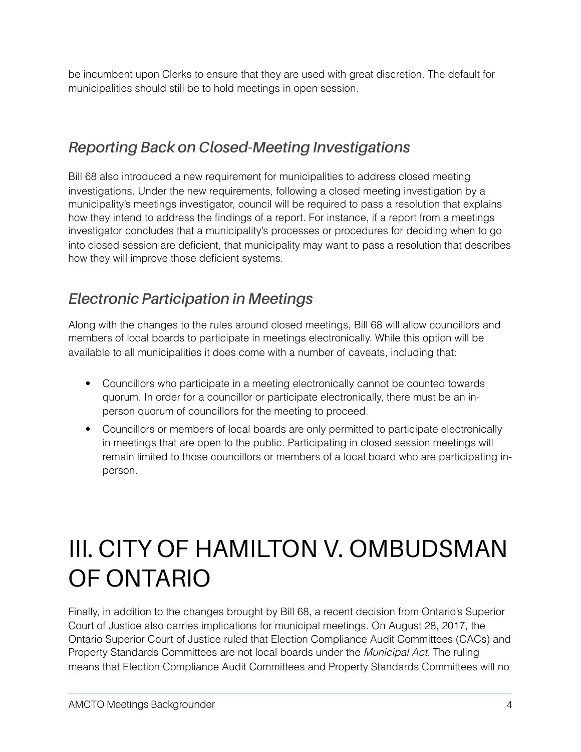be incumbent upon Clerks to ensure that they are used with great discretion. The default for municipalities should still be to hold meetings in open session.

### *Reporting Back on Closed-Meeting Investigations*

Bill 68 also introduced a new requirement for municipalities to address closed meeting investigations. Under the new requirements, following a closed meeting investigation by a municipality's meetings investigator, council will be required to pass a resolution that explains how they intend to address the findings of a report. For instance, if a report from a meetings investigator concludes that a municipality's processes or procedures for deciding when to go into closed session are deficient, that municipality may want to pass a resolution that describes how they will improve those deficient systems.

### *Electronic Participation in Meetings*

Along with the changes to the rules around closed meetings, Bill 68 will allow councillors and members of local boards to participate in meetings electronically. While this option will be available to all municipalities it does come with a number of caveats, including that:

- Councillors who participate in a meeting electronically cannot be counted towards quorum. In order for a councillor or participate electronically, there must be an inperson quorum of councillors for the meeting to proceed.
- Councillors or members of local boards are only permitted to participate electronically in meetings that are open to the public. Participating in closed session meetings will remain limited to those councillors or members of a local board who are participating inperson.

## III. CITY OF HAMILTON V. OMBUDSMAN OF ONTARIO

Finally, in addition to the changes brought by Bill 68, a recent decision from Ontario's Superior Court of Justice also carries implications for municipal meetings. On August 28, 2017, the Ontario Superior Court of Justice ruled that Election Compliance Audit Committees (CACs) and Property Standards Committees are not local boards under the *Municipal Act*. The ruling means that Election Compliance Audit Committees and Property Standards Committees will no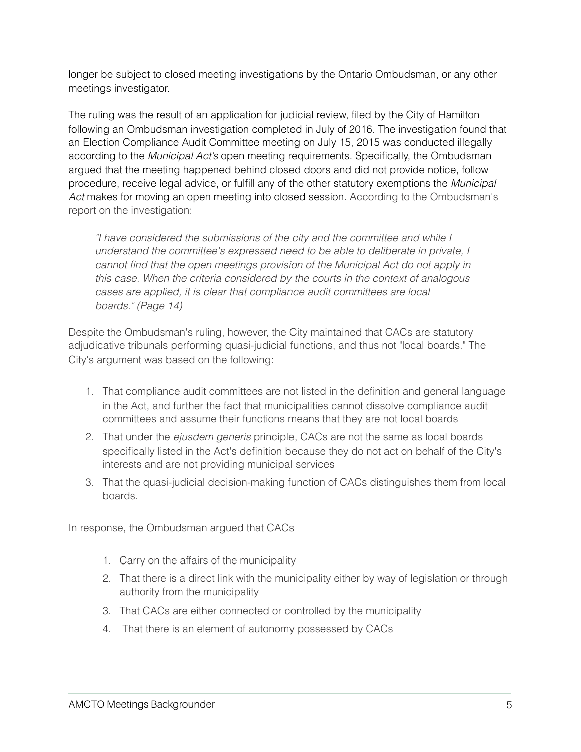longer be subject to closed meeting investigations by the Ontario Ombudsman, or any other meetings investigator.

The ruling was the result of an application for judicial review, filed by the City of Hamilton following an Ombudsman investigation completed in July of 2016. The investigation found that an Election Compliance Audit Committee meeting on July 15, 2015 was conducted illegally according to the *Municipal Act's* open meeting requirements. Specifically, the Ombudsman argued that the meeting happened behind closed doors and did not provide notice, follow procedure, receive legal advice, or fulfill any of the other statutory exemptions the *Municipal Act* makes for moving an open meeting into closed session. According to the Ombudsman's report on the investigation:

*"I have considered the submissions of the city and the committee and while I understand the committee's expressed need to be able to deliberate in private, I cannot find that the open meetings provision of the Municipal Act do not apply in this case. When the criteria considered by the courts in the context of analogous cases are applied, it is clear that compliance audit committees are local boards." (Page 14)*

Despite the Ombudsman's ruling, however, the City maintained that CACs are statutory adjudicative tribunals performing quasi-judicial functions, and thus not "local boards." The City's argument was based on the following:

- 1. That compliance audit committees are not listed in the definition and general language in the Act, and further the fact that municipalities cannot dissolve compliance audit committees and assume their functions means that they are not local boards
- 2. That under the *ejusdem generis* principle, CACs are not the same as local boards specifically listed in the Act's definition because they do not act on behalf of the City's interests and are not providing municipal services
- 3. That the quasi-judicial decision-making function of CACs distinguishes them from local boards.

In response, the Ombudsman argued that CACs

- 1. Carry on the affairs of the municipality
- 2. That there is a direct link with the municipality either by way of legislation or through authority from the municipality
- 3. That CACs are either connected or controlled by the municipality
- 4. That there is an element of autonomy possessed by CACs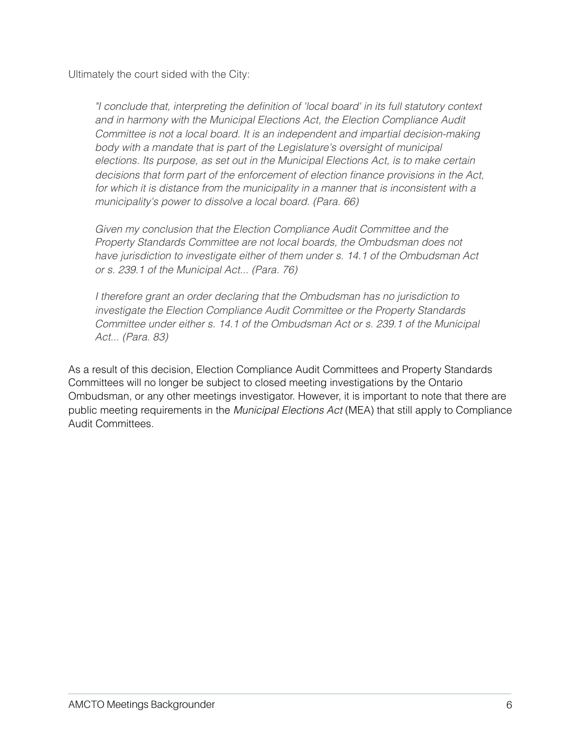Ultimately the court sided with the City:

*"I conclude that, interpreting the definition of 'local board' in its full statutory context and in harmony with the Municipal Elections Act, the Election Compliance Audit Committee is not a local board. It is an independent and impartial decision-making body with a mandate that is part of the Legislature's oversight of municipal elections. Its purpose, as set out in the Municipal Elections Act, is to make certain decisions that form part of the enforcement of election finance provisions in the Act, for which it is distance from the municipality in a manner that is inconsistent with a municipality's power to dissolve a local board. (Para. 66)*

*Given my conclusion that the Election Compliance Audit Committee and the Property Standards Committee are not local boards, the Ombudsman does not have jurisdiction to investigate either of them under s. 14.1 of the Ombudsman Act or s. 239.1 of the Municipal Act... (Para. 76)*

*I therefore grant an order declaring that the Ombudsman has no jurisdiction to investigate the Election Compliance Audit Committee or the Property Standards Committee under either s. 14.1 of the Ombudsman Act or s. 239.1 of the Municipal Act... (Para. 83)*

As a result of this decision, Election Compliance Audit Committees and Property Standards Committees will no longer be subject to closed meeting investigations by the Ontario Ombudsman, or any other meetings investigator. However, it is important to note that there are public meeting requirements in the *Municipal Elections Act* (MEA) that still apply to Compliance Audit Committees.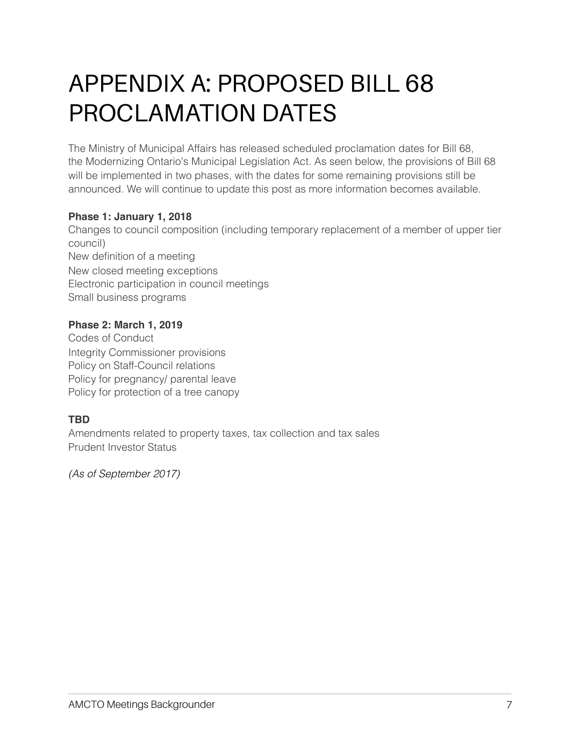## APPENDIX A: PROPOSED BILL 68 PROCLAMATION DATES

The Ministry of Municipal Affairs has released scheduled proclamation dates for Bill 68, the Modernizing Ontario's Municipal Legislation Act. As seen below, the provisions of Bill 68 will be implemented in two phases, with the dates for some remaining provisions still be announced. We will continue to update this post as more information becomes available.

### **Phase 1: January 1, 2018**

Changes to council composition (including temporary replacement of a member of upper tier council) New definition of a meeting New closed meeting exceptions Electronic participation in council meetings Small business programs

### **Phase 2: March 1, 2019**

Codes of Conduct Integrity Commissioner provisions Policy on Staff-Council relations Policy for pregnancy/ parental leave Policy for protection of a tree canopy

### **TBD**

Amendments related to property taxes, tax collection and tax sales Prudent Investor Status

*(As of September 2017)*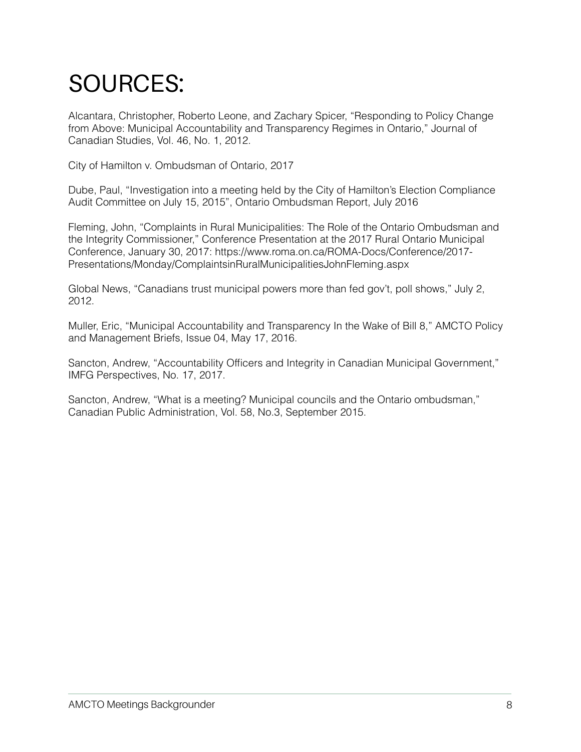## SOURCES:

Alcantara, Christopher, Roberto Leone, and Zachary Spicer, "Responding to Policy Change from Above: Municipal Accountability and Transparency Regimes in Ontario," Journal of Canadian Studies, Vol. 46, No. 1, 2012.

City of Hamilton v. Ombudsman of Ontario, 2017

Dube, Paul, "Investigation into a meeting held by the City of Hamilton's Election Compliance Audit Committee on July 15, 2015", Ontario Ombudsman Report, July 2016

Fleming, John, "Complaints in Rural Municipalities: The Role of the Ontario Ombudsman and the Integrity Commissioner," Conference Presentation at the 2017 Rural Ontario Municipal Conference, January 30, 2017: https://www.roma.on.ca/ROMA-Docs/Conference/2017- Presentations/Monday/ComplaintsinRuralMunicipalitiesJohnFleming.aspx

Global News, "Canadians trust municipal powers more than fed gov't, poll shows," July 2, 2012.

Muller, Eric, "Municipal Accountability and Transparency In the Wake of Bill 8," AMCTO Policy and Management Briefs, Issue 04, May 17, 2016.

Sancton, Andrew, "Accountability Officers and Integrity in Canadian Municipal Government," IMFG Perspectives, No. 17, 2017.

Sancton, Andrew, "What is a meeting? Municipal councils and the Ontario ombudsman," Canadian Public Administration, Vol. 58, No.3, September 2015.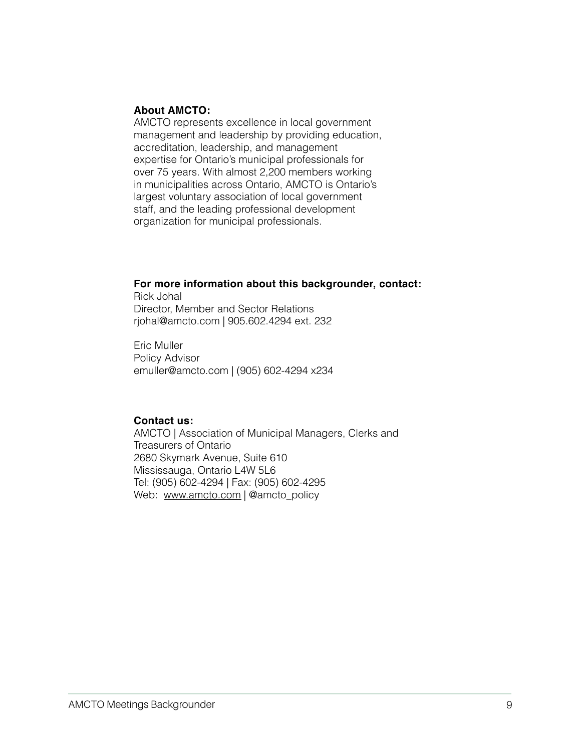#### **About AMCTO:**

AMCTO represents excellence in local government management and leadership by providing education, accreditation, leadership, and management expertise for Ontario's municipal professionals for over 75 years. With almost 2,200 members working in municipalities across Ontario, AMCTO is Ontario's largest voluntary association of local government staff, and the leading professional development organization for municipal professionals.

#### **For more information about this backgrounder, contact:**

Rick Johal Director, Member and Sector Relations rjohal@amcto.com | 905.602.4294 ext. 232

Eric Muller Policy Advisor [emuller@amcto.com](mailto:emuller@amcto.com) | (905) 602-4294 x234

#### **Contact us:**

AMCTO | Association of Municipal Managers, Clerks and Treasurers of Ontario 2680 Skymark Avenue, Suite 610 Mississauga, Ontario L4W 5L6 Tel: (905) 602-4294 | Fax: (905) 602-4295 Web: [www.amcto.com](http://www.amcto.com) | @amcto\_policy